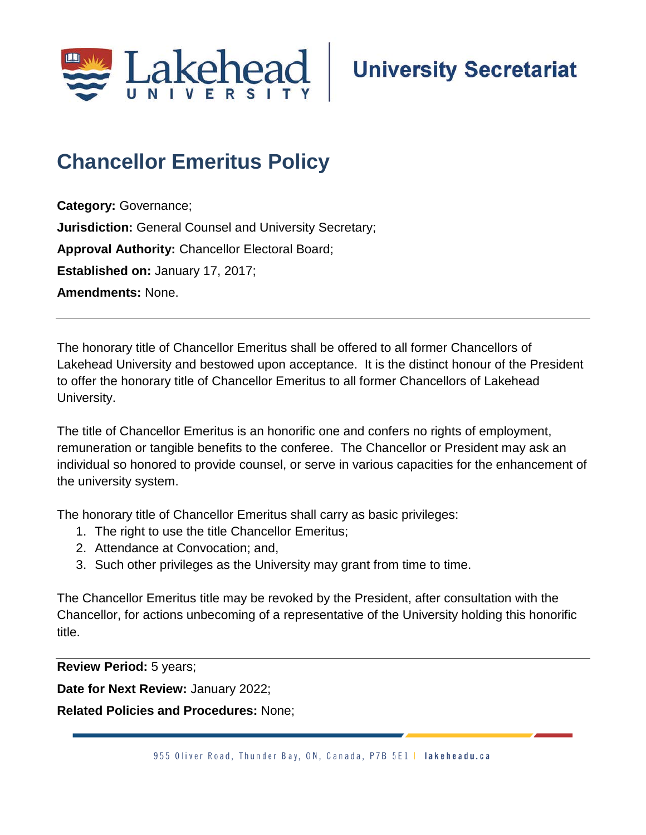

## **Chancellor Emeritus Policy**

**Category:** Governance; **Jurisdiction:** General Counsel and University Secretary; **Approval Authority:** Chancellor Electoral Board; **Established on:** January 17, 2017; **Amendments:** None.

The honorary title of Chancellor Emeritus shall be offered to all former Chancellors of Lakehead University and bestowed upon acceptance. It is the distinct honour of the President to offer the honorary title of Chancellor Emeritus to all former Chancellors of Lakehead University.

The title of Chancellor Emeritus is an honorific one and confers no rights of employment, remuneration or tangible benefits to the conferee. The Chancellor or President may ask an individual so honored to provide counsel, or serve in various capacities for the enhancement of the university system.

The honorary title of Chancellor Emeritus shall carry as basic privileges:

- 1. The right to use the title Chancellor Emeritus;
- 2. Attendance at Convocation; and,
- 3. Such other privileges as the University may grant from time to time.

The Chancellor Emeritus title may be revoked by the President, after consultation with the Chancellor, for actions unbecoming of a representative of the University holding this honorific title.

**Review Period:** 5 years;

**Date for Next Review:** January 2022;

**Related Policies and Procedures:** None;